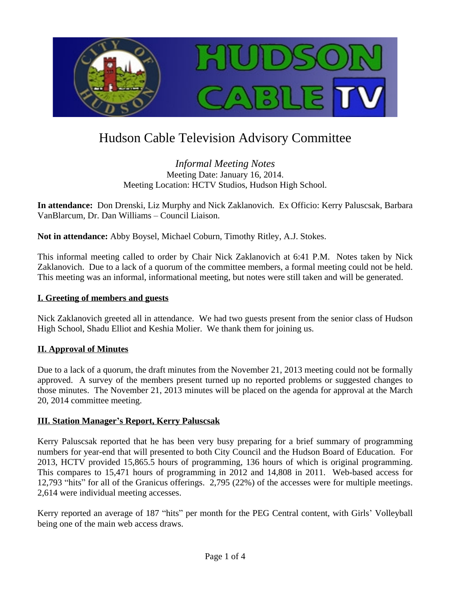

# Hudson Cable Television Advisory Committee

# *Informal Meeting Notes* Meeting Date: January 16, 2014. Meeting Location: HCTV Studios, Hudson High School.

**In attendance:** Don Drenski, Liz Murphy and Nick Zaklanovich. Ex Officio: Kerry Paluscsak, Barbara VanBlarcum, Dr. Dan Williams – Council Liaison.

**Not in attendance:** Abby Boysel, Michael Coburn, Timothy Ritley, A.J. Stokes.

This informal meeting called to order by Chair Nick Zaklanovich at 6:41 P.M. Notes taken by Nick Zaklanovich. Due to a lack of a quorum of the committee members, a formal meeting could not be held. This meeting was an informal, informational meeting, but notes were still taken and will be generated.

# **I. Greeting of members and guests**

Nick Zaklanovich greeted all in attendance. We had two guests present from the senior class of Hudson High School, Shadu Elliot and Keshia Molier. We thank them for joining us.

# **II. Approval of Minutes**

Due to a lack of a quorum, the draft minutes from the November 21, 2013 meeting could not be formally approved. A survey of the members present turned up no reported problems or suggested changes to those minutes. The November 21, 2013 minutes will be placed on the agenda for approval at the March 20, 2014 committee meeting.

# **III. Station Manager's Report, Kerry Paluscsak**

Kerry Paluscsak reported that he has been very busy preparing for a brief summary of programming numbers for year-end that will presented to both City Council and the Hudson Board of Education. For 2013, HCTV provided 15,865.5 hours of programming, 136 hours of which is original programming. This compares to 15,471 hours of programming in 2012 and 14,808 in 2011. Web-based access for 12,793 "hits" for all of the Granicus offerings. 2,795 (22%) of the accesses were for multiple meetings. 2,614 were individual meeting accesses.

Kerry reported an average of 187 "hits" per month for the PEG Central content, with Girls' Volleyball being one of the main web access draws.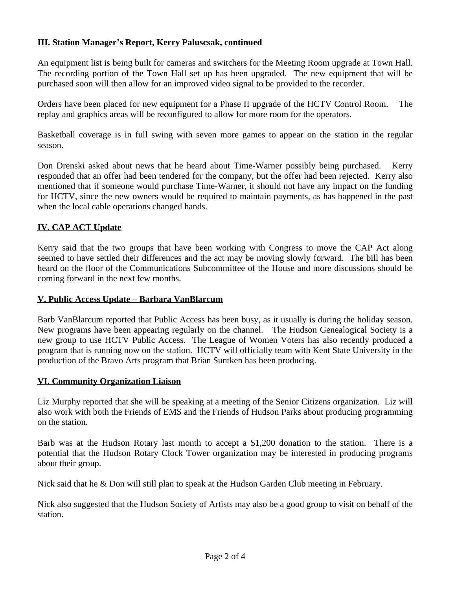# **III. Station Manager's Report, Kerry Paluscsak, continued**

An equipment list is being built for cameras and switchers for the Meeting Room upgrade at Town Hall. The recording portion of the Town Hall set up has been upgraded. The new equipment that will be purchased soon will then allow for an improved video signal to be provided to the recorder.

Orders have been placed for new equipment for a Phase II upgrade of the HCTV Control Room. The replay and graphics areas will be reconfigured to allow for more room for the operators.

Basketball coverage is in full swing with seven more games to appear on the station in the regular season.

Don Drenski asked about news that he heard about Time-Warner possibly being purchased. Kerry responded that an offer had been tendered for the company, but the offer had been rejected. Kerry also mentioned that if someone would purchase Time-Warner, it should not have any impact on the funding for HCTV, since the new owners would be required to maintain payments, as has happened in the past when the local cable operations changed hands.

# **IV. CAP ACT Update**

Kerry said that the two groups that have been working with Congress to move the CAP Act along seemed to have settled their differences and the act may be moving slowly forward. The bill has been heard on the floor of the Communications Subcommittee of the House and more discussions should be coming forward in the next few months.

## **V. Public Access Update – Barbara VanBlarcum**

Barb VanBlarcum reported that Public Access has been busy, as it usually is during the holiday season. New programs have been appearing regularly on the channel. The Hudson Genealogical Society is a new group to use HCTV Public Access. The League of Women Voters has also recently produced a program that is running now on the station. HCTV will officially team with Kent State University in the production of the Bravo Arts program that Brian Suntken has been producing.

#### **VI. Community Organization Liaison**

Liz Murphy reported that she will be speaking at a meeting of the Senior Citizens organization. Liz will also work with both the Friends of EMS and the Friends of Hudson Parks about producing programming on the station.

Barb was at the Hudson Rotary last month to accept a \$1,200 donation to the station. There is a potential that the Hudson Rotary Clock Tower organization may be interested in producing programs about their group.

Nick said that he & Don will still plan to speak at the Hudson Garden Club meeting in February.

Nick also suggested that the Hudson Society of Artists may also be a good group to visit on behalf of the station.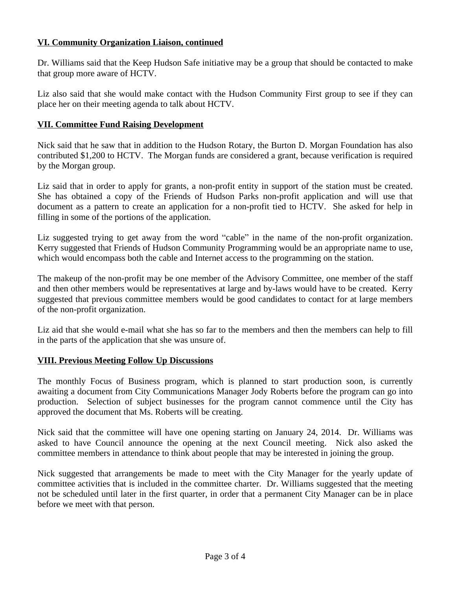## **VI. Community Organization Liaison, continued**

Dr. Williams said that the Keep Hudson Safe initiative may be a group that should be contacted to make that group more aware of HCTV.

Liz also said that she would make contact with the Hudson Community First group to see if they can place her on their meeting agenda to talk about HCTV.

## **VII. Committee Fund Raising Development**

Nick said that he saw that in addition to the Hudson Rotary, the Burton D. Morgan Foundation has also contributed \$1,200 to HCTV. The Morgan funds are considered a grant, because verification is required by the Morgan group.

Liz said that in order to apply for grants, a non-profit entity in support of the station must be created. She has obtained a copy of the Friends of Hudson Parks non-profit application and will use that document as a pattern to create an application for a non-profit tied to HCTV. She asked for help in filling in some of the portions of the application.

Liz suggested trying to get away from the word "cable" in the name of the non-profit organization. Kerry suggested that Friends of Hudson Community Programming would be an appropriate name to use, which would encompass both the cable and Internet access to the programming on the station.

The makeup of the non-profit may be one member of the Advisory Committee, one member of the staff and then other members would be representatives at large and by-laws would have to be created. Kerry suggested that previous committee members would be good candidates to contact for at large members of the non-profit organization.

Liz aid that she would e-mail what she has so far to the members and then the members can help to fill in the parts of the application that she was unsure of.

#### **VIII. Previous Meeting Follow Up Discussions**

The monthly Focus of Business program, which is planned to start production soon, is currently awaiting a document from City Communications Manager Jody Roberts before the program can go into production. Selection of subject businesses for the program cannot commence until the City has approved the document that Ms. Roberts will be creating.

Nick said that the committee will have one opening starting on January 24, 2014. Dr. Williams was asked to have Council announce the opening at the next Council meeting. Nick also asked the committee members in attendance to think about people that may be interested in joining the group.

Nick suggested that arrangements be made to meet with the City Manager for the yearly update of committee activities that is included in the committee charter. Dr. Williams suggested that the meeting not be scheduled until later in the first quarter, in order that a permanent City Manager can be in place before we meet with that person.